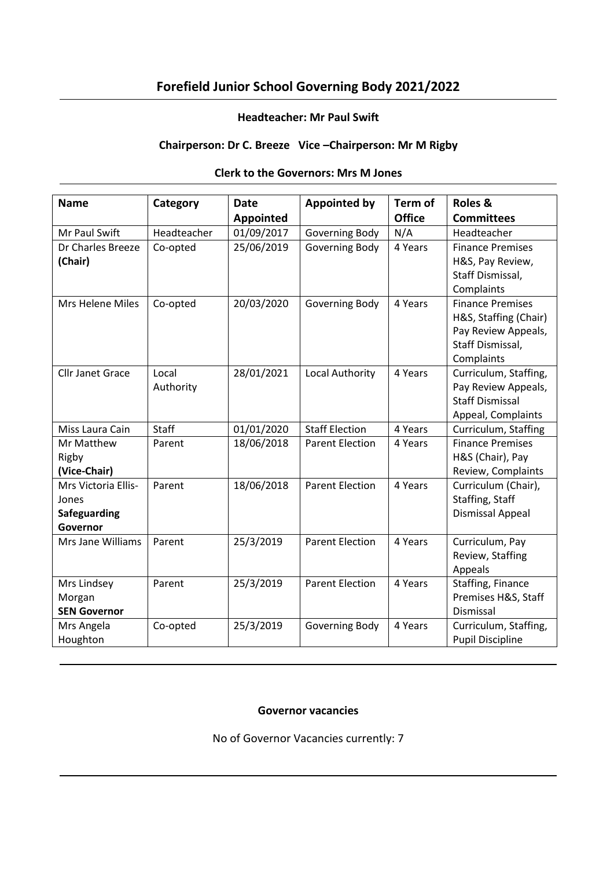# **Forefield Junior School Governing Body 2021/2022**

### **Headteacher: Mr Paul Swift**

# **Chairperson: Dr C. Breeze Vice –Chairperson: Mr M Rigby**

### **Clerk to the Governors: Mrs M Jones**

| <b>Name</b>             | Category     | <b>Date</b>      | <b>Appointed by</b>    | Term of       | Roles &                 |
|-------------------------|--------------|------------------|------------------------|---------------|-------------------------|
|                         |              | <b>Appointed</b> |                        | <b>Office</b> | <b>Committees</b>       |
| Mr Paul Swift           | Headteacher  | 01/09/2017       | Governing Body         | N/A           | Headteacher             |
| Dr Charles Breeze       | Co-opted     | 25/06/2019       | Governing Body         | 4 Years       | <b>Finance Premises</b> |
| (Chair)                 |              |                  |                        |               | H&S, Pay Review,        |
|                         |              |                  |                        |               | Staff Dismissal,        |
|                         |              |                  |                        |               | Complaints              |
| Mrs Helene Miles        | Co-opted     | 20/03/2020       | Governing Body         | 4 Years       | <b>Finance Premises</b> |
|                         |              |                  |                        |               | H&S, Staffing (Chair)   |
|                         |              |                  |                        |               | Pay Review Appeals,     |
|                         |              |                  |                        |               | Staff Dismissal,        |
|                         |              |                  |                        |               | Complaints              |
| <b>Cllr Janet Grace</b> | Local        | 28/01/2021       | Local Authority        | 4 Years       | Curriculum, Staffing,   |
|                         | Authority    |                  |                        |               | Pay Review Appeals,     |
|                         |              |                  |                        |               | <b>Staff Dismissal</b>  |
|                         |              |                  |                        |               | Appeal, Complaints      |
| Miss Laura Cain         | <b>Staff</b> | 01/01/2020       | <b>Staff Election</b>  | 4 Years       | Curriculum, Staffing    |
| Mr Matthew              | Parent       | 18/06/2018       | <b>Parent Election</b> | 4 Years       | <b>Finance Premises</b> |
| Rigby                   |              |                  |                        |               | H&S (Chair), Pay        |
| (Vice-Chair)            |              |                  |                        |               | Review, Complaints      |
| Mrs Victoria Ellis-     | Parent       | 18/06/2018       | <b>Parent Election</b> | 4 Years       | Curriculum (Chair),     |
| Jones                   |              |                  |                        |               | Staffing, Staff         |
| <b>Safeguarding</b>     |              |                  |                        |               | Dismissal Appeal        |
| Governor                |              |                  |                        |               |                         |
| Mrs Jane Williams       | Parent       | 25/3/2019        | <b>Parent Election</b> | 4 Years       | Curriculum, Pay         |
|                         |              |                  |                        |               | Review, Staffing        |
|                         |              |                  |                        |               | Appeals                 |
| Mrs Lindsey             | Parent       | 25/3/2019        | <b>Parent Election</b> | 4 Years       | Staffing, Finance       |
| Morgan                  |              |                  |                        |               | Premises H&S, Staff     |
| <b>SEN Governor</b>     |              |                  |                        |               | Dismissal               |
| Mrs Angela              | Co-opted     | 25/3/2019        | Governing Body         | 4 Years       | Curriculum, Staffing,   |
| Houghton                |              |                  |                        |               | <b>Pupil Discipline</b> |

### **Governor vacancies**

No of Governor Vacancies currently: 7